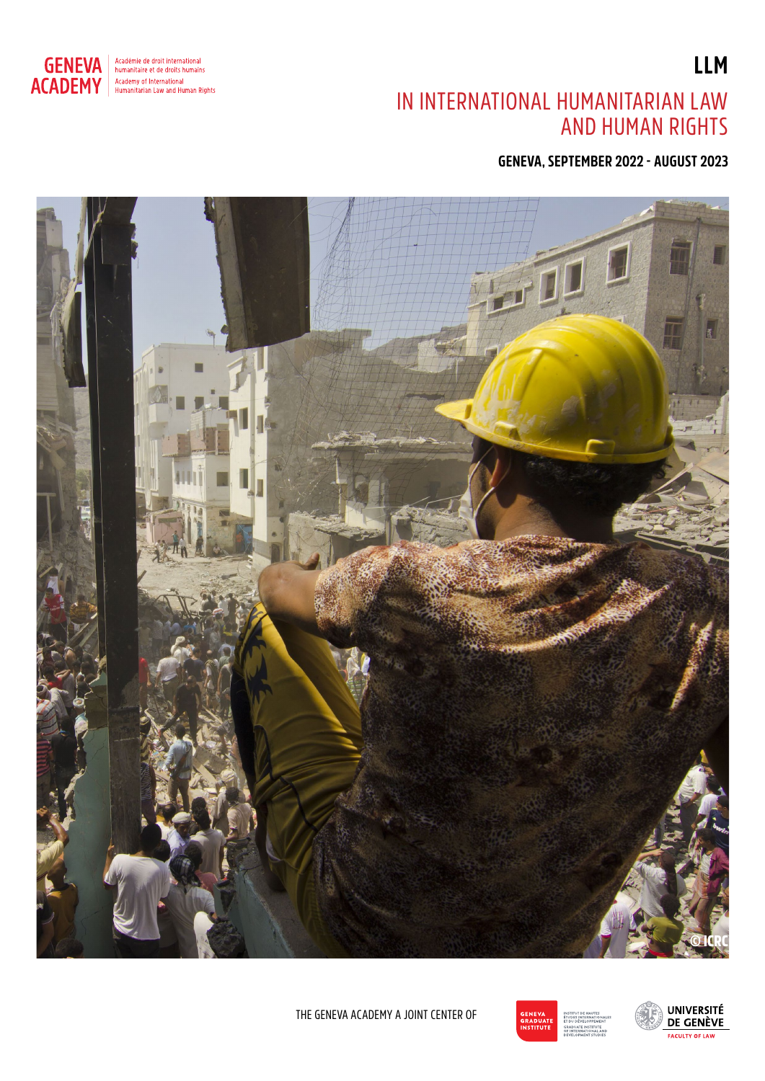

Académie de droit international<br>humanitaire et de droits humains Academy of International<br>Humanitarian Law and Human Rights

## IN INTERNATIONAL HUMANITARIAN LAW AND HUMAN RIGHTS

**GENEVA, SEPTEMBER 2022 - AUGUST 2023**





THE GENEVA ACADEMY A JOINT CENTER OF